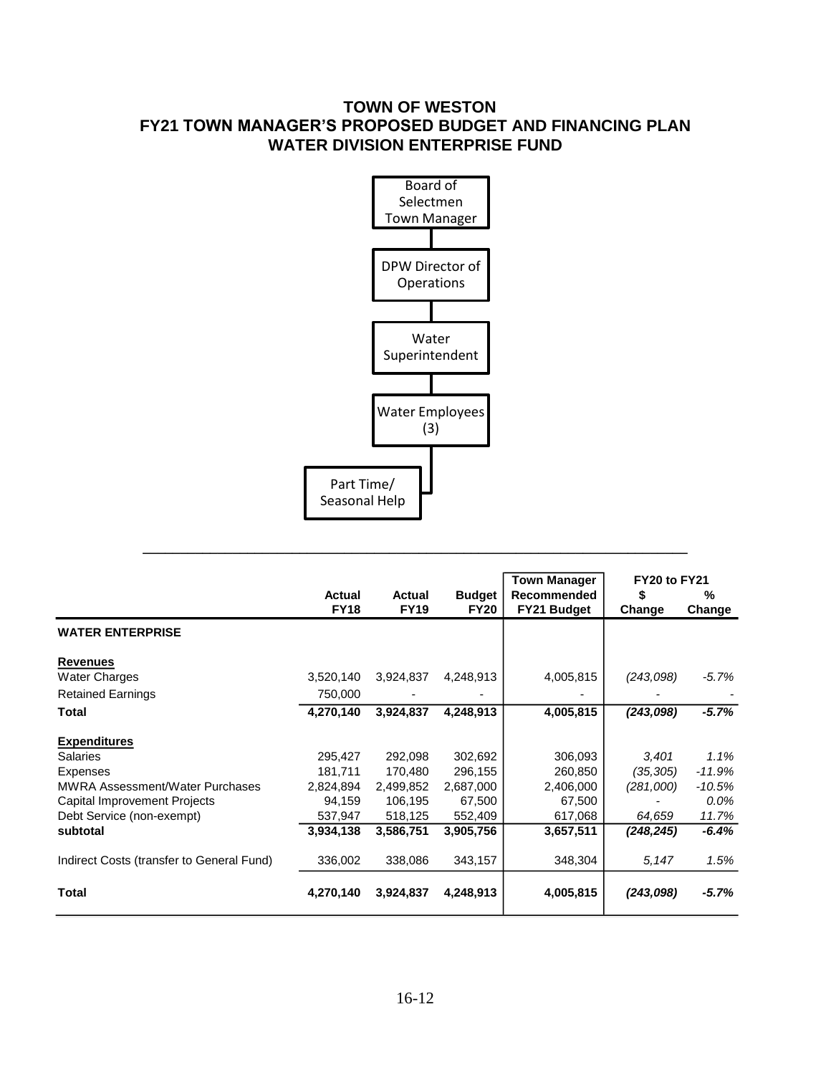# **TOWN OF WESTON FY21 TOWN MANAGER'S PROPOSED BUDGET AND FINANCING PLAN WATER DIVISION ENTERPRISE FUND**



**\_\_\_\_\_\_\_\_\_\_\_\_\_\_\_\_\_\_\_\_\_\_\_\_\_\_\_\_\_\_\_\_\_\_\_\_\_\_\_\_\_\_\_\_\_\_\_\_\_\_\_\_\_\_\_\_\_\_\_\_\_\_\_\_\_\_\_\_\_\_\_\_\_**

|                                           |                       |                       |                              | <b>Town Manager</b>               | FY20 to FY21 |             |  |
|-------------------------------------------|-----------------------|-----------------------|------------------------------|-----------------------------------|--------------|-------------|--|
|                                           | Actual<br><b>FY18</b> | Actual<br><b>FY19</b> | <b>Budget</b><br><b>FY20</b> | <b>Recommended</b><br>FY21 Budget | S<br>Change  | %<br>Change |  |
| <b>WATER ENTERPRISE</b>                   |                       |                       |                              |                                   |              |             |  |
| <b>Revenues</b>                           |                       |                       |                              |                                   |              |             |  |
| <b>Water Charges</b>                      | 3,520,140             | 3,924,837             | 4,248,913                    | 4,005,815                         | (243,098)    | -5.7%       |  |
| <b>Retained Earnings</b>                  | 750,000               |                       |                              |                                   |              |             |  |
| Total                                     | 4,270,140             | 3,924,837             | 4,248,913                    | 4,005,815                         | (243,098)    | $-5.7%$     |  |
| <b>Expenditures</b>                       |                       |                       |                              |                                   |              |             |  |
| <b>Salaries</b>                           | 295,427               | 292,098               | 302,692                      | 306,093                           | 3,401        | 1.1%        |  |
| <b>Expenses</b>                           | 181,711               | 170,480               | 296,155                      | 260,850                           | (35, 305)    | $-11.9%$    |  |
| <b>MWRA Assessment/Water Purchases</b>    | 2,824,894             | 2,499,852             | 2,687,000                    | 2,406,000                         | (281,000)    | $-10.5\%$   |  |
| Capital Improvement Projects              | 94,159                | 106,195               | 67,500                       | 67,500                            |              | 0.0%        |  |
| Debt Service (non-exempt)                 | 537,947               | 518,125               | 552,409                      | 617,068                           | 64,659       | 11.7%       |  |
| subtotal                                  | 3,934,138             | 3,586,751             | 3,905,756                    | 3,657,511                         | (248,245)    | $-6.4%$     |  |
| Indirect Costs (transfer to General Fund) | 336,002               | 338,086               | 343,157                      | 348,304                           | 5,147        | 1.5%        |  |
| Total                                     | 4,270,140             | 3,924,837             | 4,248,913                    | 4,005,815                         | (243,098)    | -5.7%       |  |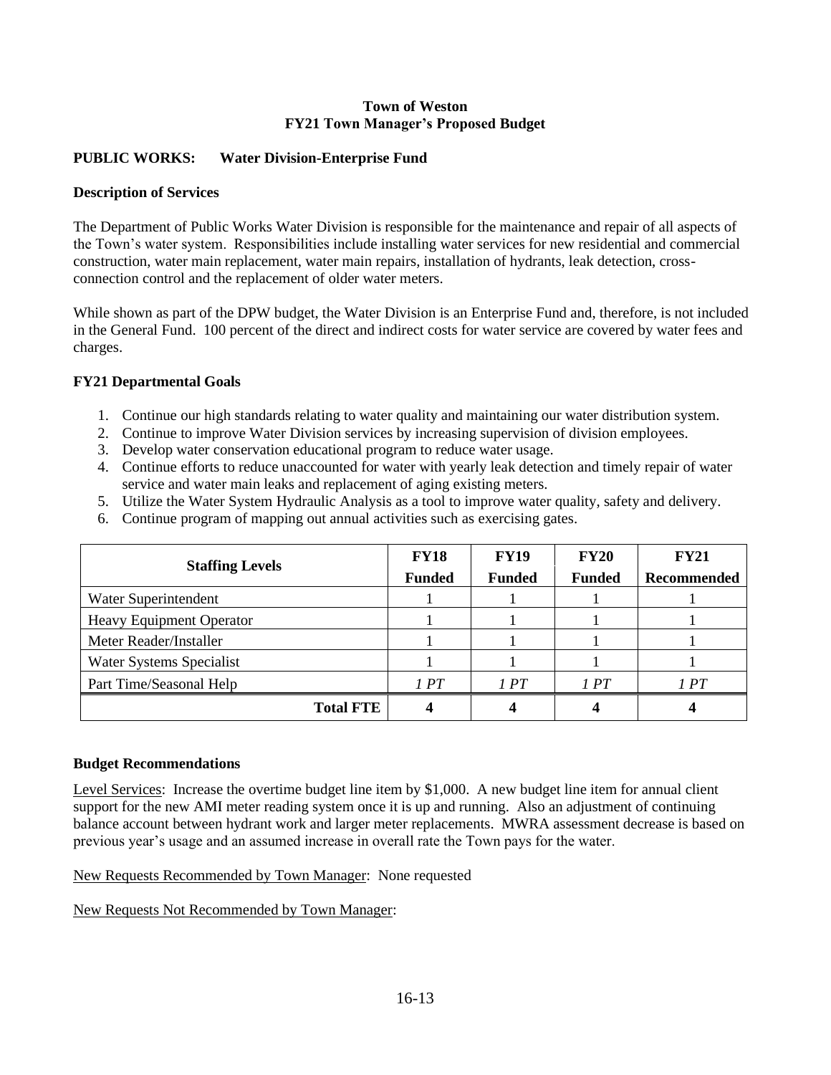#### **Town of Weston FY21 Town Manager's Proposed Budget**

## **PUBLIC WORKS: Water Division-Enterprise Fund**

#### **Description of Services**

The Department of Public Works Water Division is responsible for the maintenance and repair of all aspects of the Town's water system. Responsibilities include installing water services for new residential and commercial construction, water main replacement, water main repairs, installation of hydrants, leak detection, crossconnection control and the replacement of older water meters.

While shown as part of the DPW budget, the Water Division is an Enterprise Fund and, therefore, is not included in the General Fund. 100 percent of the direct and indirect costs for water service are covered by water fees and charges.

### **FY21 Departmental Goals**

- 1. Continue our high standards relating to water quality and maintaining our water distribution system.
- 2. Continue to improve Water Division services by increasing supervision of division employees.
- 3. Develop water conservation educational program to reduce water usage.
- 4. Continue efforts to reduce unaccounted for water with yearly leak detection and timely repair of water service and water main leaks and replacement of aging existing meters.
- 5. Utilize the Water System Hydraulic Analysis as a tool to improve water quality, safety and delivery.
- 6. Continue program of mapping out annual activities such as exercising gates.

| <b>Staffing Levels</b>          | <b>FY18</b>   | <b>FY19</b>   | <b>FY20</b>   | <b>FY21</b> |
|---------------------------------|---------------|---------------|---------------|-------------|
|                                 | <b>Funded</b> | <b>Funded</b> | <b>Funded</b> | Recommended |
| Water Superintendent            |               |               |               |             |
| <b>Heavy Equipment Operator</b> |               |               |               |             |
| Meter Reader/Installer          |               |               |               |             |
| Water Systems Specialist        |               |               |               |             |
| Part Time/Seasonal Help         | 1 PT          | 1PT           | 1PT           | 1PT         |
| <b>Total FTE</b>                |               |               |               |             |

#### **Budget Recommendations**

Level Services: Increase the overtime budget line item by \$1,000. A new budget line item for annual client support for the new AMI meter reading system once it is up and running. Also an adjustment of continuing balance account between hydrant work and larger meter replacements. MWRA assessment decrease is based on previous year's usage and an assumed increase in overall rate the Town pays for the water.

New Requests Recommended by Town Manager: None requested

New Requests Not Recommended by Town Manager: